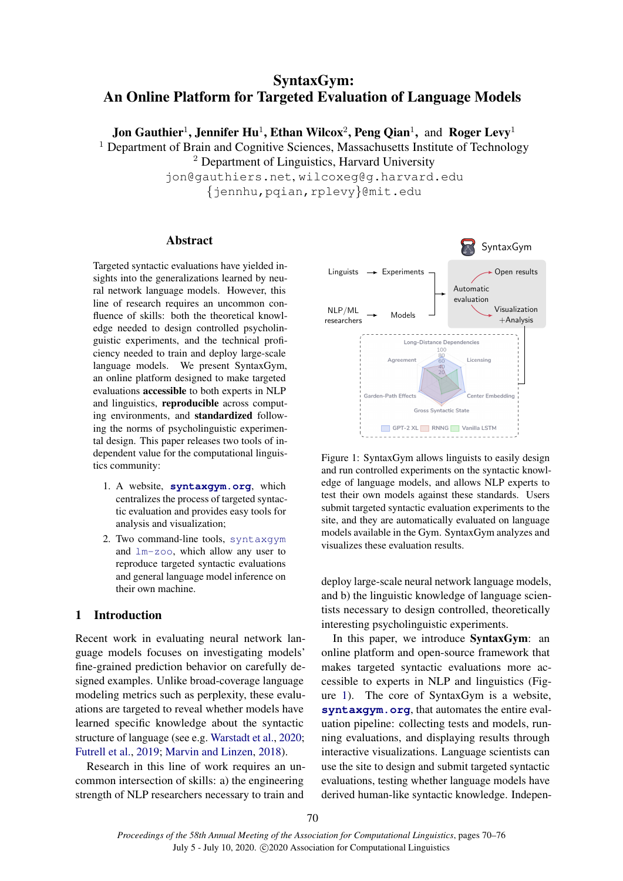# SyntaxGym: An Online Platform for Targeted Evaluation of Language Models

Jon Gauthier<sup>1</sup>, Jennifer Hu<sup>1</sup>, Ethan Wilcox<sup>2</sup>, Peng Qian<sup>1</sup>, and Roger Levy<sup>1</sup>

<sup>1</sup> Department of Brain and Cognitive Sciences, Massachusetts Institute of Technology

<sup>2</sup> Department of Linguistics, Harvard University

jon@gauthiers.net, wilcoxeg@g.harvard.edu {jennhu,pqian,rplevy}@mit.edu

# Abstract

Targeted syntactic evaluations have yielded insights into the generalizations learned by neural network language models. However, this line of research requires an uncommon confluence of skills: both the theoretical knowledge needed to design controlled psycholinguistic experiments, and the technical proficiency needed to train and deploy large-scale language models. We present SyntaxGym, an online platform designed to make targeted evaluations accessible to both experts in NLP and linguistics, reproducible across computing environments, and standardized following the norms of psycholinguistic experimental design. This paper releases two tools of independent value for the computational linguistics community:

- 1. A website, **[syntaxgym.org](https://rebrand.ly/d0the2t)**, which centralizes the process of targeted syntactic evaluation and provides easy tools for analysis and visualization;
- 2. Two command-line tools, [syntaxgym](https://rebrand.ly/j7q1b0t) and [lm-zoo](https://rebrand.ly/aaj8z6d), which allow any user to reproduce targeted syntactic evaluations and general language model inference on their own machine.

# 1 Introduction

Recent work in evaluating neural network language models focuses on investigating models' fine-grained prediction behavior on carefully designed examples. Unlike broad-coverage language modeling metrics such as perplexity, these evaluations are targeted to reveal whether models have learned specific knowledge about the syntactic structure of language (see e.g. [Warstadt et al.,](#page-6-0) [2020;](#page-6-0) [Futrell et al.,](#page-6-1) [2019;](#page-6-1) [Marvin and Linzen,](#page-6-2) [2018\)](#page-6-2).

Research in this line of work requires an uncommon intersection of skills: a) the engineering strength of NLP researchers necessary to train and

<span id="page-0-0"></span>

Figure 1: SyntaxGym allows linguists to easily design and run controlled experiments on the syntactic knowledge of language models, and allows NLP experts to test their own models against these standards. Users submit targeted syntactic evaluation experiments to the site, and they are automatically evaluated on language models available in the Gym. SyntaxGym analyzes and visualizes these evaluation results.

deploy large-scale neural network language models, and b) the linguistic knowledge of language scientists necessary to design controlled, theoretically interesting psycholinguistic experiments.

In this paper, we introduce SyntaxGym: an online platform and open-source framework that makes targeted syntactic evaluations more accessible to experts in NLP and linguistics (Figure [1\)](#page-0-0). The core of SyntaxGym is a website, **[syntaxgym.org](https://rebrand.ly/d0the2t)**, that automates the entire evaluation pipeline: collecting tests and models, running evaluations, and displaying results through interactive visualizations. Language scientists can use the site to design and submit targeted syntactic evaluations, testing whether language models have derived human-like syntactic knowledge. Indepen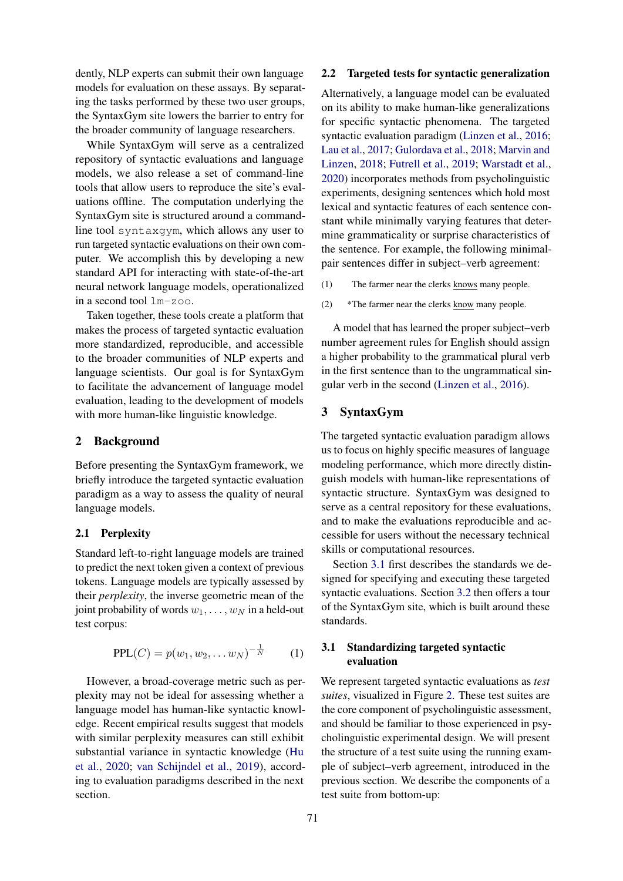dently, NLP experts can submit their own language models for evaluation on these assays. By separating the tasks performed by these two user groups, the SyntaxGym site lowers the barrier to entry for the broader community of language researchers.

While SyntaxGym will serve as a centralized repository of syntactic evaluations and language models, we also release a set of command-line tools that allow users to reproduce the site's evaluations offline. The computation underlying the SyntaxGym site is structured around a commandline tool syntaxgym, which allows any user to run targeted syntactic evaluations on their own computer. We accomplish this by developing a new standard API for interacting with state-of-the-art neural network language models, operationalized in a second tool lm-zoo.

Taken together, these tools create a platform that makes the process of targeted syntactic evaluation more standardized, reproducible, and accessible to the broader communities of NLP experts and language scientists. Our goal is for SyntaxGym to facilitate the advancement of language model evaluation, leading to the development of models with more human-like linguistic knowledge.

# 2 Background

Before presenting the SyntaxGym framework, we briefly introduce the targeted syntactic evaluation paradigm as a way to assess the quality of neural language models.

#### 2.1 Perplexity

Standard left-to-right language models are trained to predict the next token given a context of previous tokens. Language models are typically assessed by their *perplexity*, the inverse geometric mean of the joint probability of words  $w_1, \ldots, w_N$  in a held-out test corpus:

$$
PPL(C) = p(w_1, w_2, \dots w_N)^{-\frac{1}{N}} \qquad (1)
$$

However, a broad-coverage metric such as perplexity may not be ideal for assessing whether a language model has human-like syntactic knowledge. Recent empirical results suggest that models with similar perplexity measures can still exhibit substantial variance in syntactic knowledge [\(Hu](#page-6-3) [et al.,](#page-6-3) [2020;](#page-6-3) [van Schijndel et al.,](#page-6-4) [2019\)](#page-6-4), according to evaluation paradigms described in the next section.

#### 2.2 Targeted tests for syntactic generalization

Alternatively, a language model can be evaluated on its ability to make human-like generalizations for specific syntactic phenomena. The targeted syntactic evaluation paradigm [\(Linzen et al.,](#page-6-5) [2016;](#page-6-5) [Lau et al.,](#page-6-6) [2017;](#page-6-6) [Gulordava et al.,](#page-6-7) [2018;](#page-6-7) [Marvin and](#page-6-2) [Linzen,](#page-6-2) [2018;](#page-6-2) [Futrell et al.,](#page-6-1) [2019;](#page-6-1) [Warstadt et al.,](#page-6-0) [2020\)](#page-6-0) incorporates methods from psycholinguistic experiments, designing sentences which hold most lexical and syntactic features of each sentence constant while minimally varying features that determine grammaticality or surprise characteristics of the sentence. For example, the following minimalpair sentences differ in subject–verb agreement:

- <span id="page-1-1"></span>(1) The farmer near the clerks knows many people.
- <span id="page-1-2"></span>(2) \*The farmer near the clerks know many people.

A model that has learned the proper subject–verb number agreement rules for English should assign a higher probability to the grammatical plural verb in the first sentence than to the ungrammatical singular verb in the second [\(Linzen et al.,](#page-6-5) [2016\)](#page-6-5).

## 3 SyntaxGym

The targeted syntactic evaluation paradigm allows us to focus on highly specific measures of language modeling performance, which more directly distinguish models with human-like representations of syntactic structure. SyntaxGym was designed to serve as a central repository for these evaluations, and to make the evaluations reproducible and accessible for users without the necessary technical skills or computational resources.

Section [3.1](#page-1-0) first describes the standards we designed for specifying and executing these targeted syntactic evaluations. Section [3.2](#page-3-0) then offers a tour of the SyntaxGym site, which is built around these standards.

# <span id="page-1-0"></span>3.1 Standardizing targeted syntactic evaluation

We represent targeted syntactic evaluations as *test suites*, visualized in Figure [2.](#page-2-0) These test suites are the core component of psycholinguistic assessment, and should be familiar to those experienced in psycholinguistic experimental design. We will present the structure of a test suite using the running example of subject–verb agreement, introduced in the previous section. We describe the components of a test suite from bottom-up: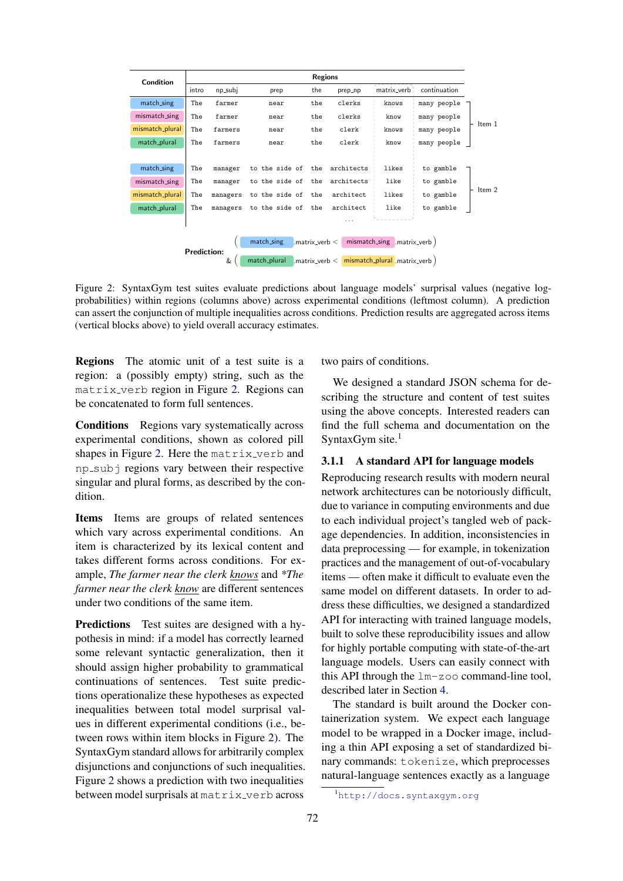<span id="page-2-0"></span>

| Condition                                                                                                                                                  | <b>Regions</b> |          |                |     |            |             |              |          |
|------------------------------------------------------------------------------------------------------------------------------------------------------------|----------------|----------|----------------|-----|------------|-------------|--------------|----------|
|                                                                                                                                                            | intro          | np_subj  | prep           | the | prep_np    | matrix_verb | continuation |          |
| match_sing                                                                                                                                                 | The            | farmer   | near           | the | clerks     | knows       | many people  |          |
| mismatch_sing                                                                                                                                              | The            | farmer   | near           | the | clerks     | know        | many people  |          |
| mismatch_plural                                                                                                                                            | The            | farmers  | near           | the | clerk      | knows       | many people  | Item 1   |
| match_plural                                                                                                                                               | The            | farmers  | near           | the | clerk      | know        | many people  |          |
|                                                                                                                                                            |                |          |                |     |            |             |              |          |
| match_sing                                                                                                                                                 | The            | manager  | to the side of | the | architects | likes       | to gamble    |          |
| mismatch_sing                                                                                                                                              | The            | manager  | to the side of | the | architects | like        | to gamble    |          |
| mismatch_plural                                                                                                                                            | The            | managers | to the side of | the | architect  | likes       | to gamble    | Item $2$ |
| match_plural                                                                                                                                               | The            | managers | to the side of | the | architect  | like        | to gamble    |          |
|                                                                                                                                                            |                |          |                |     | .          |             |              |          |
|                                                                                                                                                            |                |          |                |     |            |             |              |          |
| mismatch_sing matrix_verb<br>match_sing<br>$matrix\_verb <$<br><b>Prediction:</b><br>match_plural<br>mismatch_plural .matrix_verb<br>&<br>$matrix\_verb <$ |                |          |                |     |            |             |              |          |
|                                                                                                                                                            |                |          |                |     |            |             |              |          |

Figure 2: SyntaxGym test suites evaluate predictions about language models' surprisal values (negative logprobabilities) within regions (columns above) across experimental conditions (leftmost column). A prediction can assert the conjunction of multiple inequalities across conditions. Prediction results are aggregated across items (vertical blocks above) to yield overall accuracy estimates.

Regions The atomic unit of a test suite is a region: a (possibly empty) string, such as the matrix verb region in Figure [2.](#page-2-0) Regions can be concatenated to form full sentences.

Conditions Regions vary systematically across experimental conditions, shown as colored pill shapes in Figure [2.](#page-2-0) Here the matrix verb and np\_subj regions vary between their respective singular and plural forms, as described by the condition.

Items Items are groups of related sentences which vary across experimental conditions. An item is characterized by its lexical content and takes different forms across conditions. For example, *The farmer near the clerk knows* and *\*The farmer near the clerk know* are different sentences under two conditions of the same item.

Predictions Test suites are designed with a hypothesis in mind: if a model has correctly learned some relevant syntactic generalization, then it should assign higher probability to grammatical continuations of sentences. Test suite predictions operationalize these hypotheses as expected inequalities between total model surprisal values in different experimental conditions (i.e., between rows within item blocks in Figure [2\)](#page-2-0). The SyntaxGym standard allows for arbitrarily complex disjunctions and conjunctions of such inequalities. Figure [2](#page-2-0) shows a prediction with two inequalities between model surprisals at matrix verb across

two pairs of conditions.

We designed a standard JSON schema for describing the structure and content of test suites using the above concepts. Interested readers can find the full schema and documentation on the SyntaxGym site. $<sup>1</sup>$  $<sup>1</sup>$  $<sup>1</sup>$ </sup>

#### <span id="page-2-2"></span>3.1.1 A standard API for language models

Reproducing research results with modern neural network architectures can be notoriously difficult, due to variance in computing environments and due to each individual project's tangled web of package dependencies. In addition, inconsistencies in data preprocessing — for example, in tokenization practices and the management of out-of-vocabulary items — often make it difficult to evaluate even the same model on different datasets. In order to address these difficulties, we designed a standardized API for interacting with trained language models, built to solve these reproducibility issues and allow for highly portable computing with state-of-the-art language models. Users can easily connect with this API through the lm-zoo command-line tool, described later in Section [4.](#page-4-0)

The standard is built around the Docker containerization system. We expect each language model to be wrapped in a Docker image, including a thin API exposing a set of standardized binary commands: tokenize, which preprocesses natural-language sentences exactly as a language

<span id="page-2-1"></span><sup>1</sup><http://docs.syntaxgym.org>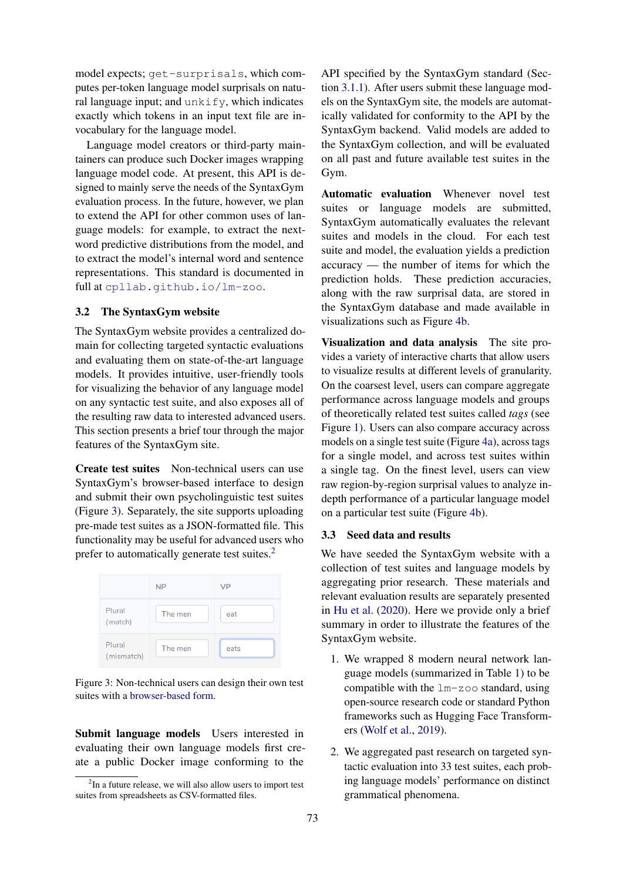model expects; get-surprisals, which computes per-token language model surprisals on natural language input; and  $unkify$ , which indicates exactly which tokens in an input text file are invocabulary for the language model.

Language model creators or third-party maintainers can produce such Docker images wrapping language model code. At present, this API is designed to mainly serve the needs of the SyntaxGym evaluation process. In the future, however, we plan to extend the API for other common uses of language models: for example, to extract the nextword predictive distributions from the model, and to extract the model's internal word and sentence representations. This standard is documented in full at [cpllab.github.io/lm-zoo](https://rebrand.ly/aaj8z6d).

## <span id="page-3-0"></span>3.2 The SyntaxGym website

The SyntaxGym website provides a centralized domain for collecting targeted syntactic evaluations and evaluating them on state-of-the-art language models. It provides intuitive, user-friendly tools for visualizing the behavior of any language model on any syntactic test suite, and also exposes all of the resulting raw data to interested advanced users. This section presents a brief tour through the major features of the SyntaxGym site.

Create test suites Non-technical users can use SyntaxGym's browser-based interface to design and submit their own psycholinguistic test suites (Figure [3\)](#page-3-1). Separately, the site supports uploading pre-made test suites as a JSON-formatted file. This functionality may be useful for advanced users who prefer to automatically generate test suites.<sup>[2](#page-3-2)</sup>

<span id="page-3-1"></span>

|                      | <b>NP</b> | <b>VP</b> |
|----------------------|-----------|-----------|
| Plural<br>(match)    | The men   | eat       |
| Plural<br>(mismatch) | The men   | eats      |

Figure 3: Non-technical users can design their own test suites with a [browser-based form.](https://rebrand.ly/l8rzqp5)

Submit language models Users interested in evaluating their own language models first create a public Docker image conforming to the

API specified by the SyntaxGym standard (Section [3.1.1\)](#page-2-2). After users submit these language models on the SyntaxGym site, the models are automatically validated for conformity to the API by the SyntaxGym backend. Valid models are added to the SyntaxGym collection, and will be evaluated on all past and future available test suites in the Gym.

Automatic evaluation Whenever novel test suites or language models are submitted, SyntaxGym automatically evaluates the relevant suites and models in the cloud. For each test suite and model, the evaluation yields a prediction accuracy — the number of items for which the prediction holds. These prediction accuracies, along with the raw surprisal data, are stored in the SyntaxGym database and made available in visualizations such as Figure [4b.](#page-4-1)

Visualization and data analysis The site provides a variety of interactive charts that allow users to visualize results at different levels of granularity. On the coarsest level, users can compare aggregate performance across language models and groups of theoretically related test suites called *tags* (see Figure [1\)](#page-0-0). Users can also compare accuracy across models on a single test suite (Figure [4a\)](#page-4-1), across tags for a single model, and across test suites within a single tag. On the finest level, users can view raw region-by-region surprisal values to analyze indepth performance of a particular language model on a particular test suite (Figure [4b\)](#page-4-1).

#### 3.3 Seed data and results

We have seeded the SyntaxGym website with a collection of test suites and language models by aggregating prior research. These materials and relevant evaluation results are separately presented in [Hu et al.](#page-6-3) [\(2020\)](#page-6-3). Here we provide only a brief summary in order to illustrate the features of the SyntaxGym website.

- 1. We wrapped 8 modern neural network language models (summarized in Table [1\)](#page-4-2) to be compatible with the lm-zoo standard, using open-source research code or standard Python frameworks such as Hugging Face Transformers [\(Wolf et al.,](#page-6-8) [2019\)](#page-6-8).
- 2. We aggregated past research on targeted syntactic evaluation into 33 test suites, each probing language models' performance on distinct grammatical phenomena.

<span id="page-3-2"></span> $2$ In a future release, we will also allow users to import test suites from spreadsheets as CSV-formatted files.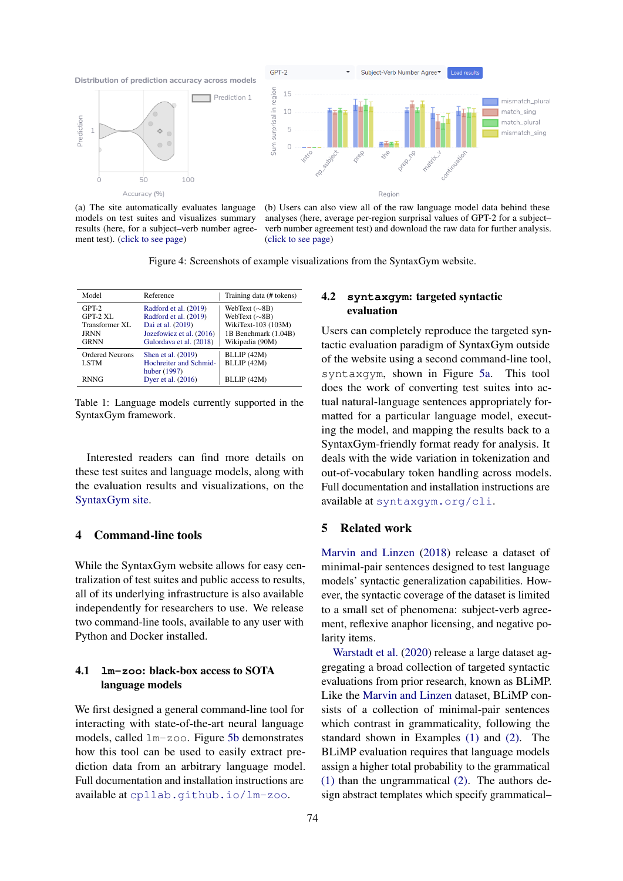<span id="page-4-1"></span>

(a) The site automatically evaluates language models on test suites and visualizes summary results (here, for a subject–verb number agreement test). [\(click to see page\)](https://rebrand.ly/sgzwqcj)

(b) Users can also view all of the raw language model data behind these analyses (here, average per-region surprisal values of GPT-2 for a subject– verb number agreement test) and download the raw data for further analysis. [\(click to see page\)](https://rebrand.ly/aemj7iw)

Figure 4: Screenshots of example visualizations from the SyntaxGym website.

<span id="page-4-2"></span>

| Model                                                               | Reference                                                                                                                  | Training data (# tokens)                                                                                    |
|---------------------------------------------------------------------|----------------------------------------------------------------------------------------------------------------------------|-------------------------------------------------------------------------------------------------------------|
| $GPT-2$<br>GPT-2 XL<br>Transformer XL<br><b>JRNN</b><br><b>GRNN</b> | Radford et al. (2019)<br>Radford et al. (2019)<br>Dai et al. (2019)<br>Jozefowicz et al. (2016)<br>Gulordava et al. (2018) | WebText $(\sim$ 8B)<br>WebText $(\sim8B)$<br>WikiText-103 (103M)<br>1B Benchmark (1.04B)<br>Wikipedia (90M) |
| <b>Ordered Neurons</b><br><b>LSTM</b><br><b>RNNG</b>                | Shen et al. (2019)<br>Hochreiter and Schmid-<br>huber (1997)<br>Dyer et al. (2016)                                         | BLLIP (42M)<br>BLLIP (42M)<br>BLLIP (42M)                                                                   |

Table 1: Language models currently supported in the SyntaxGym framework.

Interested readers can find more details on these test suites and language models, along with the evaluation results and visualizations, on the [SyntaxGym site.](https://rebrand.ly/d0the2t)

# <span id="page-4-0"></span>4 Command-line tools

While the SyntaxGym website allows for easy centralization of test suites and public access to results, all of its underlying infrastructure is also available independently for researchers to use. We release two command-line tools, available to any user with Python and Docker installed.

# 4.1 **lm-zoo**: black-box access to SOTA language models

We first designed a general command-line tool for interacting with state-of-the-art neural language models, called lm-zoo. Figure [5b](#page-5-0) demonstrates how this tool can be used to easily extract prediction data from an arbitrary language model. Full documentation and installation instructions are available at [cpllab.github.io/lm-zoo](https://rebrand.ly/aaj8z6d).

# 4.2 **syntaxgym**: targeted syntactic evaluation

Users can completely reproduce the targeted syntactic evaluation paradigm of SyntaxGym outside of the website using a second command-line tool, syntaxgym, shown in Figure [5a.](#page-5-0) This tool does the work of converting test suites into actual natural-language sentences appropriately formatted for a particular language model, executing the model, and mapping the results back to a SyntaxGym-friendly format ready for analysis. It deals with the wide variation in tokenization and out-of-vocabulary token handling across models. Full documentation and installation instructions are available at [syntaxgym.org/cli](https://rebrand.ly/j7q1b0t).

## 5 Related work

[Marvin and Linzen](#page-6-2) [\(2018\)](#page-6-2) release a dataset of minimal-pair sentences designed to test language models' syntactic generalization capabilities. However, the syntactic coverage of the dataset is limited to a small set of phenomena: subject-verb agreement, reflexive anaphor licensing, and negative polarity items.

[Warstadt et al.](#page-6-0) [\(2020\)](#page-6-0) release a large dataset aggregating a broad collection of targeted syntactic evaluations from prior research, known as BLiMP. Like the [Marvin and Linzen](#page-6-2) dataset, BLiMP consists of a collection of minimal-pair sentences which contrast in grammaticality, following the standard shown in Examples [\(1\)](#page-1-1) and [\(2\).](#page-1-2) The BLiMP evaluation requires that language models assign a higher total probability to the grammatical [\(1\)](#page-1-1) than the ungrammatical [\(2\).](#page-1-2) The authors design abstract templates which specify grammatical–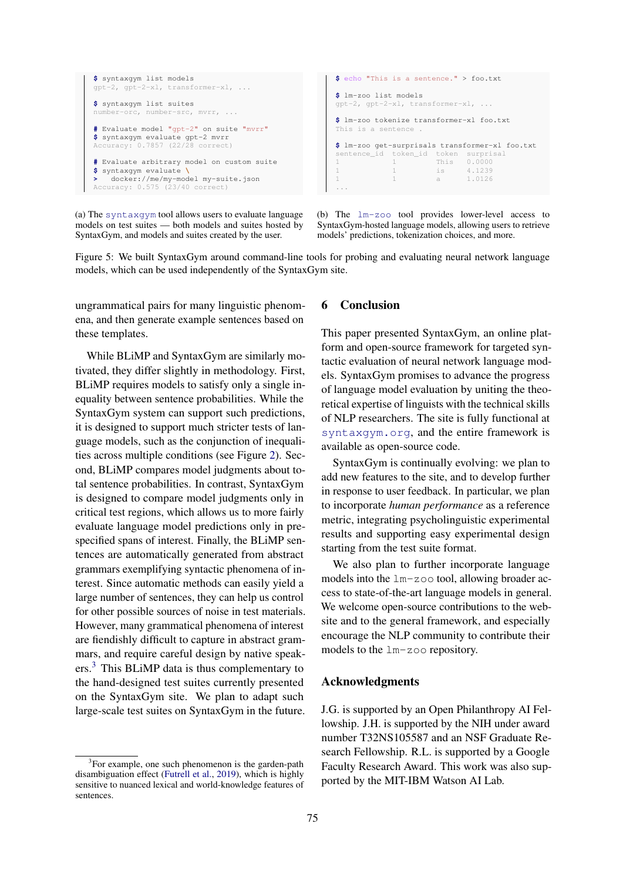```
$ syntaxgym list models
gpt-2, gpt-2-xl, transformer-xl, ...
$ syntaxgym list suites
number-orc, number-src, mvrr, ...
# Evaluate model "gpt-2" on suite "mvrr"
$ syntaxgym evaluate gpt-2 mvrr
Accuracy: 0.7857 (22/28 correct)
# Evaluate arbitrary model on custom suite
$ syntaxgym evaluate \
   > docker://me/my-model my-suite.json
Accuracy: 0.575 (23/40 correct)
                                                            $ echo "This is a sentence." > foo.txt
                                                            $ lm-zoo list models
                                                            gpt-2, gpt-2-xl, transformer-xl, ...
                                                            $ lm-zoo tokenize transformer-xl foo.txt
                                                            This is a sentence .
                                                            $ lm-zoo get-surprisals transformer-xl foo.txt
                                                            sentence_id token_id token surprisal
1 1 This 0.0000
                                                                                     is 4.1239
                                                                                     a 1.0126
                                                            ...
```
(a) The [syntaxgym](https://rebrand.ly/j7q1b0t) tool allows users to evaluate language models on test suites — both models and suites hosted by SyntaxGym, and models and suites created by the user.

(b) The [lm-zoo](https://rebrand.ly/aaj8z6d) tool provides lower-level access to SyntaxGym-hosted language models, allowing users to retrieve models' predictions, tokenization choices, and more.

Figure 5: We built SyntaxGym around command-line tools for probing and evaluating neural network language models, which can be used independently of the SyntaxGym site.

ungrammatical pairs for many linguistic phenomena, and then generate example sentences based on these templates.

While BLiMP and SyntaxGym are similarly motivated, they differ slightly in methodology. First, BLiMP requires models to satisfy only a single inequality between sentence probabilities. While the SyntaxGym system can support such predictions, it is designed to support much stricter tests of language models, such as the conjunction of inequalities across multiple conditions (see Figure [2\)](#page-2-0). Second, BLiMP compares model judgments about total sentence probabilities. In contrast, SyntaxGym is designed to compare model judgments only in critical test regions, which allows us to more fairly evaluate language model predictions only in prespecified spans of interest. Finally, the BLiMP sentences are automatically generated from abstract grammars exemplifying syntactic phenomena of interest. Since automatic methods can easily yield a large number of sentences, they can help us control for other possible sources of noise in test materials. However, many grammatical phenomena of interest are fiendishly difficult to capture in abstract grammars, and require careful design by native speakers.[3](#page-5-1) This BLiMP data is thus complementary to the hand-designed test suites currently presented on the SyntaxGym site. We plan to adapt such large-scale test suites on SyntaxGym in the future.

## 6 Conclusion

This paper presented SyntaxGym, an online platform and open-source framework for targeted syntactic evaluation of neural network language models. SyntaxGym promises to advance the progress of language model evaluation by uniting the theoretical expertise of linguists with the technical skills of NLP researchers. The site is fully functional at [syntaxgym.org](https://rebrand.ly/d0the2t), and the entire framework is available as open-source code.

SyntaxGym is continually evolving: we plan to add new features to the site, and to develop further in response to user feedback. In particular, we plan to incorporate *human performance* as a reference metric, integrating psycholinguistic experimental results and supporting easy experimental design starting from the test suite format.

We also plan to further incorporate language models into the  $lm-z$  oo tool, allowing broader access to state-of-the-art language models in general. We welcome open-source contributions to the website and to the general framework, and especially encourage the NLP community to contribute their models to the lm-zoo repository.

#### Acknowledgments

J.G. is supported by an Open Philanthropy AI Fellowship. J.H. is supported by the NIH under award number T32NS105587 and an NSF Graduate Research Fellowship. R.L. is supported by a Google Faculty Research Award. This work was also supported by the MIT-IBM Watson AI Lab.

<span id="page-5-1"></span><sup>&</sup>lt;sup>3</sup>For example, one such phenomenon is the garden-path disambiguation effect [\(Futrell et al.,](#page-6-1) [2019\)](#page-6-1), which is highly sensitive to nuanced lexical and world-knowledge features of sentences.